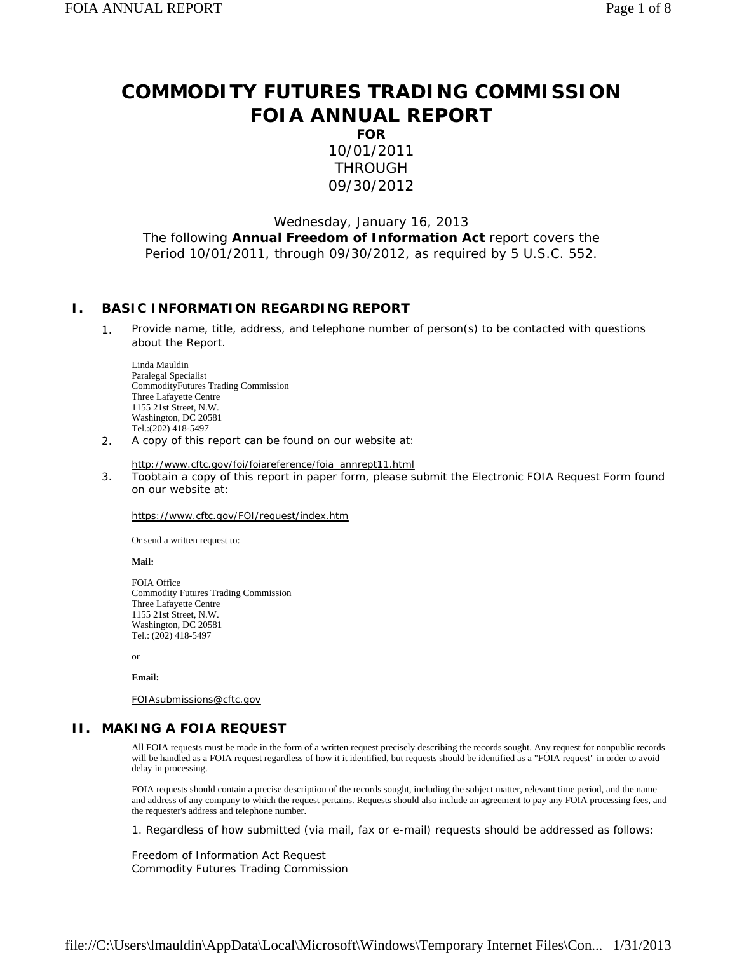# **COMMODITY FUTURES TRADING COMMISSION FOIA ANNUAL REPORT**

**FOR** 10/01/2011 THROUGH 09/30/2012

Wednesday, January 16, 2013 The following **Annual Freedom of Information Act** report covers the Period 10/01/2011, through 09/30/2012, as required by 5 U.S.C. 552.

### **I. BASIC INFORMATION REGARDING REPORT**

1. Provide name, title, address, and telephone number of person(s) to be contacted with questions about the Report.

Linda Mauldin Paralegal Specialist CommodityFutures Trading Commission Three Lafayette Centre 1155 21st Street, N.W. Washington, DC 20581 Tel.:(202) 418-5497

2. A copy of this report can be found on our website at:

http://www.cftc.gov/foi/foiareference/foia\_annrept11.html

3. Toobtain a copy of this report in paper form, please submit the Electronic FOIA Request Form found on our website at:

https://www.cftc.gov/FOI/request/index.htm

Or send a written request to:

**Mail:**

FOIA Office Commodity Futures Trading Commission Three Lafayette Centre 1155 21st Street, N.W. Washington, DC 20581 Tel.: (202) 418-5497

or

**Email:** 

FOIAsubmissions@cftc.gov

#### **II. MAKING A FOIA REQUEST**

All FOIA requests must be made in the form of a written request precisely describing the records sought. Any request for nonpublic records will be handled as a FOIA request regardless of how it it identified, but requests should be identified as a "FOIA request" in order to avoid delay in processing.

FOIA requests should contain a precise description of the records sought, including the subject matter, relevant time period, and the name and address of any company to which the request pertains. Requests should also include an agreement to pay any FOIA processing fees, and the requester's address and telephone number.

1. Regardless of how submitted (via mail, fax or e-mail) requests should be addressed as follows:

Freedom of Information Act Request Commodity Futures Trading Commission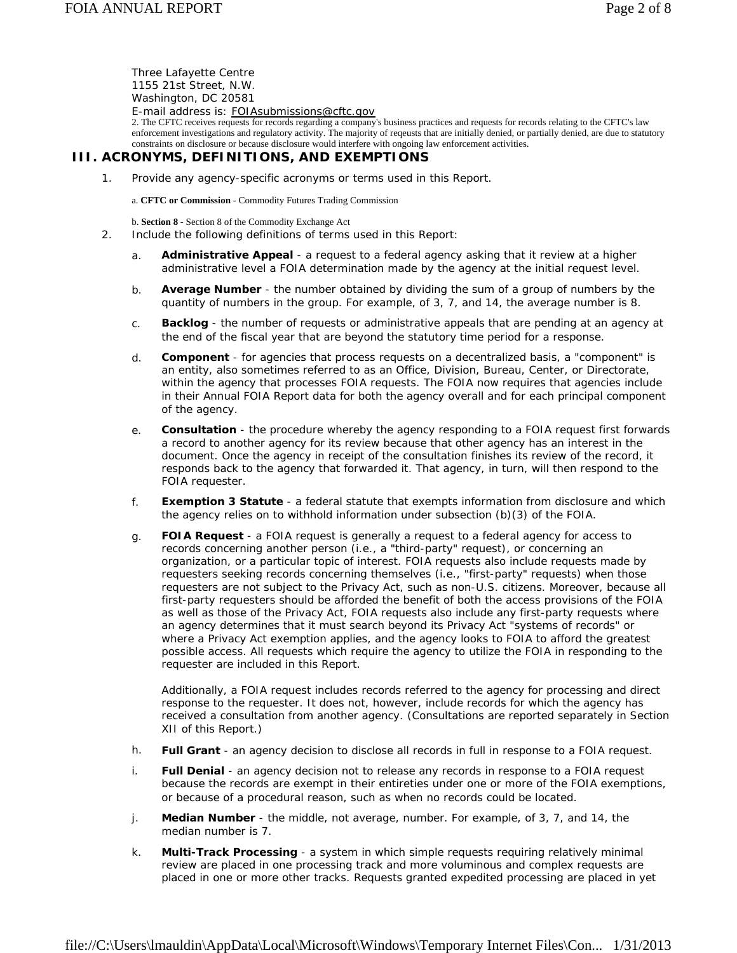Three Lafayette Centre 1155 21st Street, N.W. Washington, DC 20581 E-mail address is: FOIAsubmissions@cftc.gov

2. The CFTC receives requests for records regarding a company's business practices and requests for records relating to the CFTC's law enforcement investigations and regulatory activity. The majority of reqeusts that are initially denied, or partially denied, are due to statutory constraints on disclosure or because disclosure would interfere with ongoing law enforcement activities.

### **III. ACRONYMS, DEFINITIONS, AND EXEMPTIONS**

1. Provide any agency-specific acronyms or terms used in this Report.

a. **CFTC or Commission** - Commodity Futures Trading Commission

b. **Section 8** - Section 8 of the Commodity Exchange Act

- 2. Include the following definitions of terms used in this Report:
	- a. **Administrative Appeal** a request to a federal agency asking that it review at a higher administrative level a FOIA determination made by the agency at the initial request level.
	- b. **Average Number** the number obtained by dividing the sum of a group of numbers by the quantity of numbers in the group. For example, of 3, 7, and 14, the average number is 8.
	- c. **Backlog** the number of requests or administrative appeals that are pending at an agency at the end of the fiscal year that are beyond the statutory time period for a response.
	- d. **Component** for agencies that process requests on a decentralized basis, a "component" is an entity, also sometimes referred to as an Office, Division, Bureau, Center, or Directorate, within the agency that processes FOIA requests. The FOIA now requires that agencies include in their Annual FOIA Report data for both the agency overall and for each principal component of the agency.
	- e. **Consultation** the procedure whereby the agency responding to a FOIA request first forwards a record to another agency for its review because that other agency has an interest in the document. Once the agency in receipt of the consultation finishes its review of the record, it responds back to the agency that forwarded it. That agency, in turn, will then respond to the FOIA requester.
	- f. **Exemption 3 Statute** a federal statute that exempts information from disclosure and which the agency relies on to withhold information under subsection (b)(3) of the FOIA.
	- g. **FOIA Request** a FOIA request is generally a request to a federal agency for access to records concerning another person (i.e., a "third-party" request), or concerning an organization, or a particular topic of interest. FOIA requests also include requests made by requesters seeking records concerning themselves (i.e., "first-party" requests) when those requesters are not subject to the Privacy Act, such as non-U.S. citizens. Moreover, because all first-party requesters should be afforded the benefit of both the access provisions of the FOIA as well as those of the Privacy Act, FOIA requests also include any first-party requests where an agency determines that it must search beyond its Privacy Act "systems of records" or where a Privacy Act exemption applies, and the agency looks to FOIA to afford the greatest possible access. All requests which require the agency to utilize the FOIA in responding to the requester are included in this Report.

Additionally, a FOIA request includes records referred to the agency for processing and direct response to the requester. It does not, however, include records for which the agency has received a consultation from another agency. (Consultations are reported separately in Section XII of this Report.)

- h. **Full Grant** an agency decision to disclose all records in full in response to a FOIA request.
- i. **Full Denial** an agency decision not to release any records in response to a FOIA request because the records are exempt in their entireties under one or more of the FOIA exemptions, or because of a procedural reason, such as when no records could be located.
- j. **Median Number** the middle, not average, number. For example, of 3, 7, and 14, the median number is 7.
- k. **Multi-Track Processing** a system in which simple requests requiring relatively minimal review are placed in one processing track and more voluminous and complex requests are placed in one or more other tracks. Requests granted expedited processing are placed in yet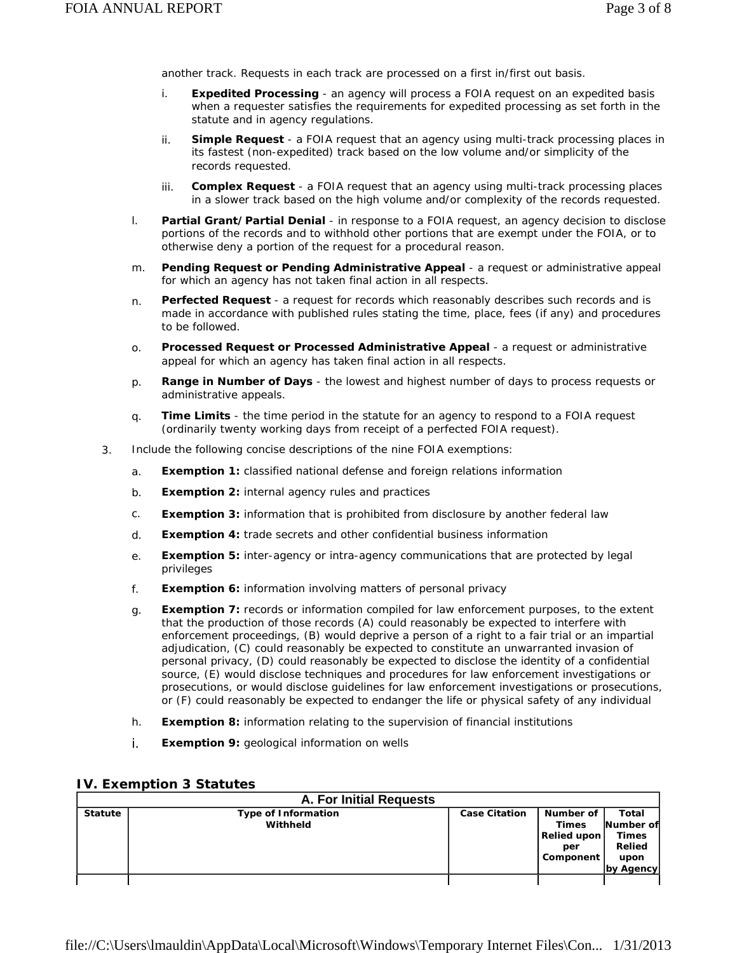another track. Requests in each track are processed on a first in/first out basis.

- i. **Expedited Processing** an agency will process a FOIA request on an expedited basis when a requester satisfies the requirements for expedited processing as set forth in the statute and in agency regulations.
- ii. **Simple Request** a FOIA request that an agency using multi-track processing places in its fastest (non-expedited) track based on the low volume and/or simplicity of the records requested.
- iii. **Complex Request** a FOIA request that an agency using multi-track processing places in a slower track based on the high volume and/or complexity of the records requested.
- l. **Partial Grant/Partial Denial** in response to a FOIA request, an agency decision to disclose portions of the records and to withhold other portions that are exempt under the FOIA, or to otherwise deny a portion of the request for a procedural reason.
- m. **Pending Request or Pending Administrative Appeal** a request or administrative appeal for which an agency has not taken final action in all respects.
- n. **Perfected Request**  a request for records which reasonably describes such records and is made in accordance with published rules stating the time, place, fees (if any) and procedures to be followed.
- o. **Processed Request or Processed Administrative Appeal**  a request or administrative appeal for which an agency has taken final action in all respects.
- p. **Range in Number of Days** the lowest and highest number of days to process requests or administrative appeals.
- q. **Time Limits** the time period in the statute for an agency to respond to a FOIA request (ordinarily twenty working days from receipt of a perfected FOIA request).
- 3. Include the following concise descriptions of the nine FOIA exemptions:
	- a. **Exemption 1:** classified national defense and foreign relations information
	- b. **Exemption 2:** internal agency rules and practices
	- c. **Exemption 3:** information that is prohibited from disclosure by another federal law
	- d. **Exemption 4:** trade secrets and other confidential business information
	- e. **Exemption 5:** inter-agency or intra-agency communications that are protected by legal privileges
	- f. **Exemption 6:** information involving matters of personal privacy
	- g. **Exemption 7:** records or information compiled for law enforcement purposes, to the extent that the production of those records (A) could reasonably be expected to interfere with enforcement proceedings, (B) would deprive a person of a right to a fair trial or an impartial adjudication, (C) could reasonably be expected to constitute an unwarranted invasion of personal privacy, (D) could reasonably be expected to disclose the identity of a confidential source, (E) would disclose techniques and procedures for law enforcement investigations or prosecutions, or would disclose guidelines for law enforcement investigations or prosecutions, or (F) could reasonably be expected to endanger the life or physical safety of any individual
	- h. **Exemption 8:** information relating to the supervision of financial institutions
	- i. **Exemption 9:** geological information on wells

#### **IV. Exemption 3 Statutes**

|                | <b>A. For Initial Requests</b>         |                      |                                                              |                                                                          |  |  |  |  |  |  |
|----------------|----------------------------------------|----------------------|--------------------------------------------------------------|--------------------------------------------------------------------------|--|--|--|--|--|--|
| <b>Statute</b> | <b>Type of Information</b><br>Withheld | <b>Case Citation</b> | Number of<br><b>Times</b><br>Relied upon<br>per<br>Component | <b>Total</b><br>Number of<br><b>Times</b><br>Relied<br>upon<br>by Agency |  |  |  |  |  |  |
|                |                                        |                      |                                                              |                                                                          |  |  |  |  |  |  |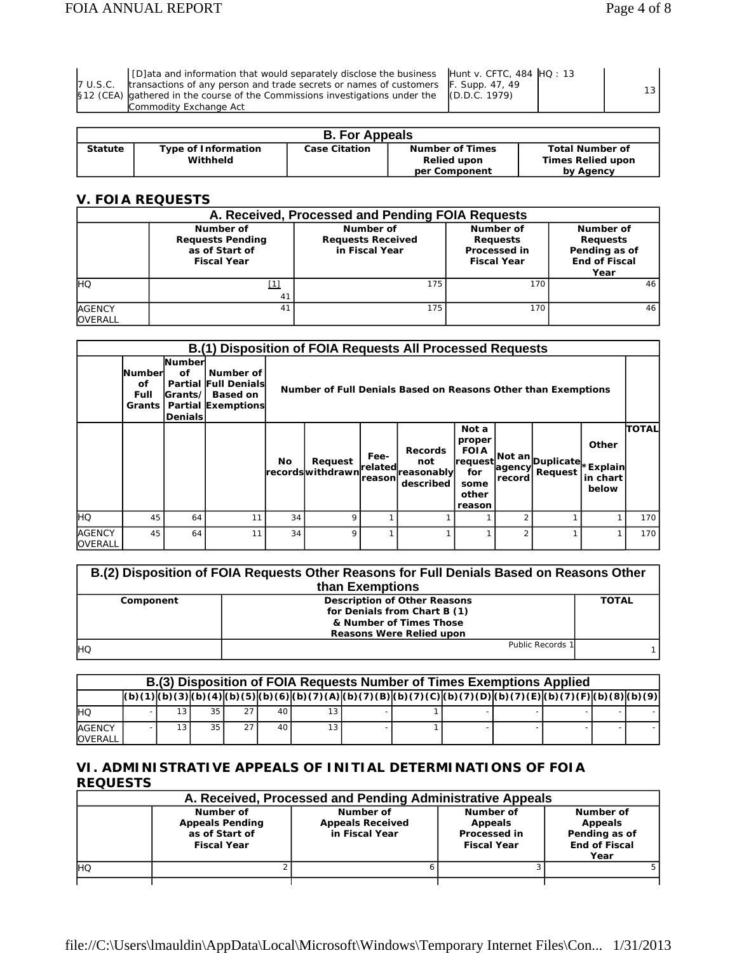|  | 7 U.S.C.<br>512 (CEA) |
|--|-----------------------|
|  |                       |

[D]ata and information that would separately disclose the business transactions of any person and trade secrets or names of customers gathered in the course of the Commissions investigations under the Commodity Exchange Act

| Hunt v. CFTC, 484 <b> </b> HQ : |  |
|---------------------------------|--|
| F. Supp. 47, 49                 |  |
| (D.D.C. 1979)                   |  |

13

13

| <b>B. For Appeals</b> |                                        |                      |                                                               |                                                                 |  |  |  |  |  |
|-----------------------|----------------------------------------|----------------------|---------------------------------------------------------------|-----------------------------------------------------------------|--|--|--|--|--|
| <b>Statute</b>        | <b>Type of Information</b><br>Withheld | <b>Case Citation</b> | <b>Number of Times</b><br><b>Relied upon</b><br>per Component | <b>Total Number of</b><br><b>Times Relied upon</b><br>by Agency |  |  |  |  |  |

## **V. FOIA REQUESTS**

|                                 |                                                                              | A. Received, Processed and Pending FOIA Requests        |                                                                    |                                                                               |
|---------------------------------|------------------------------------------------------------------------------|---------------------------------------------------------|--------------------------------------------------------------------|-------------------------------------------------------------------------------|
|                                 | Number of<br><b>Requests Pending</b><br>as of Start of<br><b>Fiscal Year</b> | Number of<br><b>Requests Received</b><br>in Fiscal Year | Number of<br><b>Requests</b><br>Processed in<br><b>Fiscal Year</b> | Number of<br><b>Requests</b><br>Pending as of<br><b>End of Fiscal</b><br>Year |
| Iнo                             | ำ<br>41                                                                      | 175                                                     | 170                                                                | 46                                                                            |
| <b>AGENCY</b><br><b>OVERALL</b> | 41                                                                           | 175                                                     | 170                                                                | 46                                                                            |

|                          | <b>B.(1) Disposition of FOIA Requests All Processed Requests</b> |                                                                |                                                                                  |    |                                                               |                            |                                                  |                                                                               |        |                                        |                            |                  |
|--------------------------|------------------------------------------------------------------|----------------------------------------------------------------|----------------------------------------------------------------------------------|----|---------------------------------------------------------------|----------------------------|--------------------------------------------------|-------------------------------------------------------------------------------|--------|----------------------------------------|----------------------------|------------------|
|                          | <b>Numberl</b><br><b>of</b><br>Full<br>Grants                    | <b>Numberl</b><br>Οf<br>Partial<br> Grants/ <br><b>Denials</b> | Number of<br><b>Full Denials</b><br><b>Based on</b><br><b>Partial Exemptions</b> |    | Number of Full Denials Based on Reasons Other than Exemptions |                            |                                                  |                                                                               |        |                                        |                            |                  |
|                          |                                                                  |                                                                |                                                                                  | No | Request<br><b>recordswithdrawn</b>                            | Fee-<br>related<br>reasonl | <b>Records</b><br>not<br>reasonably<br>described | Not a<br>proper<br><b>FOIA</b><br> request <br>for<br>some<br>other<br>reason | record | . Not an Duplicate ∗Explain<br>Request | Other<br>in chart<br>below | Ітотац           |
| <b>IHQ</b>               | 45                                                               | 64                                                             | 11                                                                               | 34 | 9                                                             |                            |                                                  |                                                                               | っ      |                                        |                            | 170 l            |
| <b>AGENCY</b><br>OVERALL | 45                                                               | 64                                                             | 11                                                                               | 34 | 9                                                             |                            |                                                  |                                                                               | 2      |                                        |                            | 170 <sub>l</sub> |

| B.(2) Disposition of FOIA Requests Other Reasons for Full Denials Based on Reasons Other<br>than Exemptions |                                                                                                                                   |              |  |  |  |  |  |
|-------------------------------------------------------------------------------------------------------------|-----------------------------------------------------------------------------------------------------------------------------------|--------------|--|--|--|--|--|
| Component                                                                                                   | <b>Description of Other Reasons</b><br>for Denials from Chart B (1)<br>& Number of Times Those<br><b>Reasons Were Relied upon</b> | <b>TOTAL</b> |  |  |  |  |  |
| <b>IHO</b>                                                                                                  | Public Records                                                                                                                    |              |  |  |  |  |  |

|                                 | B.(3) Disposition of FOIA Requests Number of Times Exemptions Applied |  |    |                 |    |     |  |  |                                                                                                                                             |  |  |  |
|---------------------------------|-----------------------------------------------------------------------|--|----|-----------------|----|-----|--|--|---------------------------------------------------------------------------------------------------------------------------------------------|--|--|--|
|                                 |                                                                       |  |    |                 |    |     |  |  | (b) (1) (b) (3) (b) (4) (b) (5) (b) (6) (b) (7) (A) (b) (7) (B) (b) (7) (c) (b) (7) (c) (b) (7) (p) (b) (7) (e) (b) (7) (F) (c) (8) (b) (9) |  |  |  |
| <b>IHQ</b>                      |                                                                       |  | 35 | 27 <sub>1</sub> | 40 |     |  |  |                                                                                                                                             |  |  |  |
| <b>AGENCY</b><br><b>OVERALL</b> |                                                                       |  | 35 | 27 <sub>1</sub> | 40 | 13. |  |  |                                                                                                                                             |  |  |  |

## **VI. ADMINISTRATIVE APPEALS OF INITIAL DETERMINATIONS OF FOIA REQUESTS**

|            | A. Received, Processed and Pending Administrative Appeals                   |                                                        |                                                            |                                                                       |  |  |  |  |  |  |  |
|------------|-----------------------------------------------------------------------------|--------------------------------------------------------|------------------------------------------------------------|-----------------------------------------------------------------------|--|--|--|--|--|--|--|
|            | Number of<br><b>Appeals Pending</b><br>as of Start of<br><b>Fiscal Year</b> | Number of<br><b>Appeals Received</b><br>in Fiscal Year | Number of<br>Appeals<br>Processed in<br><b>Fiscal Year</b> | Number of<br>Appeals<br>Pending as of<br><b>End of Fiscal</b><br>Year |  |  |  |  |  |  |  |
| <b>IHO</b> |                                                                             |                                                        |                                                            |                                                                       |  |  |  |  |  |  |  |
|            |                                                                             |                                                        |                                                            |                                                                       |  |  |  |  |  |  |  |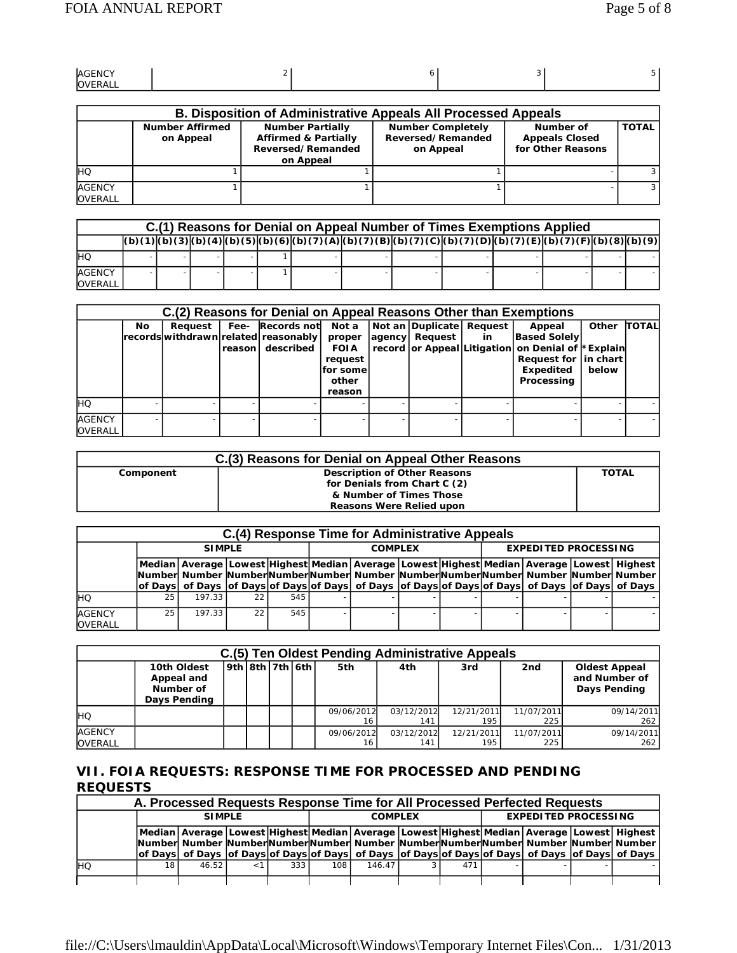| AGENCY                                       |  |  |
|----------------------------------------------|--|--|
| <sup>-</sup> RAL <sub>L</sub><br><b>IOVE</b> |  |  |

|                                 | <b>B. Disposition of Administrative Appeals All Processed Appeals</b> |                                                                                              |                                                            |                                                         |              |  |  |  |  |  |  |  |
|---------------------------------|-----------------------------------------------------------------------|----------------------------------------------------------------------------------------------|------------------------------------------------------------|---------------------------------------------------------|--------------|--|--|--|--|--|--|--|
|                                 | <b>Number Affirmed</b><br>on Appeal                                   | <b>Number Partially</b><br><b>Affirmed &amp; Partially</b><br>Reversed/Remanded<br>on Appeal | <b>Number Completely</b><br>Reversed/Remanded<br>on Appeal | Number of<br><b>Appeals Closed</b><br>for Other Reasons | <b>TOTAL</b> |  |  |  |  |  |  |  |
| Iно                             |                                                                       |                                                                                              |                                                            |                                                         |              |  |  |  |  |  |  |  |
| <b>AGENCY</b><br><b>OVERALL</b> |                                                                       |                                                                                              |                                                            |                                                         |              |  |  |  |  |  |  |  |

|                                 | C.(1) Reasons for Denial on Appeal Number of Times Exemptions Applied |  |  |  |  |  |  |  |                                                                                                                                       |  |  |  |
|---------------------------------|-----------------------------------------------------------------------|--|--|--|--|--|--|--|---------------------------------------------------------------------------------------------------------------------------------------|--|--|--|
|                                 |                                                                       |  |  |  |  |  |  |  | (b) (1)(b) (3)(b) (4)(b) (5)(b) (6)(b) (6)(b) (7) (A)(b) (7) (B)(b) (7) (C)(b) (7) (0)(b) (7) (D)(b) (7) (E)(b) (7) (F)(b) (8)(b) (9) |  |  |  |
| <b>IHQ</b>                      |                                                                       |  |  |  |  |  |  |  |                                                                                                                                       |  |  |  |
| <b>AGENCY</b><br><b>OVERALL</b> |                                                                       |  |  |  |  |  |  |  |                                                                                                                                       |  |  |  |

|                                 |     |         |         |                                                                         |                                                                            |                                            |    | C.(2) Reasons for Denial on Appeal Reasons Other than Exemptions                                                                        |                |              |
|---------------------------------|-----|---------|---------|-------------------------------------------------------------------------|----------------------------------------------------------------------------|--------------------------------------------|----|-----------------------------------------------------------------------------------------------------------------------------------------|----------------|--------------|
|                                 | No. | Request | reasonl | Fee- Records not<br>records withdrawn related reasonably  <br>described | Not a<br>proper<br><b>FOIA</b><br>request<br>lfor somel<br>other<br>reason | Not an Duplicate Request<br>agency Request | in | Appeal<br><b>Based Solely</b><br>record or Appeal Litigation on Denial of *Explain<br>Request for   in chart<br>Expedited<br>Processing | Other<br>below | <b>TOTAL</b> |
| <b>IHO</b>                      |     |         |         |                                                                         |                                                                            |                                            |    |                                                                                                                                         |                |              |
| <b>AGENCY</b><br><b>OVERALL</b> |     |         |         |                                                                         |                                                                            |                                            |    |                                                                                                                                         |                |              |

| C.(3) Reasons for Denial on Appeal Other Reasons |                                     |       |  |  |  |  |  |  |
|--------------------------------------------------|-------------------------------------|-------|--|--|--|--|--|--|
| Component                                        | <b>Description of Other Reasons</b> | TOTAL |  |  |  |  |  |  |
|                                                  | for Denials from Chart C (2)        |       |  |  |  |  |  |  |
|                                                  | & Number of Times Those             |       |  |  |  |  |  |  |
|                                                  | <b>Reasons Were Relied upon</b>     |       |  |  |  |  |  |  |

|                                 |                 |               |     |     | C.(4) Response Time for Administrative Appeals                                                                |  |                             |  |  |  |
|---------------------------------|-----------------|---------------|-----|-----|---------------------------------------------------------------------------------------------------------------|--|-----------------------------|--|--|--|
|                                 |                 | <b>SIMPLE</b> |     |     | <b>COMPLEX</b>                                                                                                |  | <b>EXPEDITED PROCESSING</b> |  |  |  |
|                                 |                 |               |     |     | Median   Average   Lowest  Highest   Median   Average   Lowest  Highest   Median   Average   Lowest   Highest |  |                             |  |  |  |
|                                 |                 |               |     |     | Number Number NumberNumberNumber Number NumberNumberNumberNumber Number Number                                |  |                             |  |  |  |
|                                 |                 |               |     |     | of Days  of Days  of Days of Days of Days  of Days  of Days of Days of Days  of Days  of Days  of Days        |  |                             |  |  |  |
| Iно                             | 25 <sub>1</sub> | 197.33        | 221 | 545 |                                                                                                               |  |                             |  |  |  |
| <b>AGENCY</b><br><b>OVERALL</b> | 25              | 197.33        | 22  | 545 |                                                                                                               |  |                             |  |  |  |

|                                 | C.(5) Ten Oldest Pending Administrative Appeals        |                         |  |  |  |                  |                   |                   |                   |                                                       |  |  |  |
|---------------------------------|--------------------------------------------------------|-------------------------|--|--|--|------------------|-------------------|-------------------|-------------------|-------------------------------------------------------|--|--|--|
|                                 | 10th Oldest<br>Appeal and<br>Number of<br>Days Pending | $ 9th $ 8th $ 7th 6th $ |  |  |  | 5th              | 4th               | 3rd               | 2 <sub>nd</sub>   | <b>Oldest Appeal</b><br>and Number of<br>Days Pending |  |  |  |
| <b>IHO</b>                      |                                                        |                         |  |  |  | 09/06/2012       | 03/12/2012<br>141 | 12/21/2011<br>195 | 11/07/2011<br>225 | 09/14/2011<br>262                                     |  |  |  |
| <b>AGENCY</b><br><b>OVERALL</b> |                                                        |                         |  |  |  | 09/06/2012<br>16 | 03/12/2012<br>141 | 12/21/2011<br>195 | 11/07/2011<br>225 | 09/14/2011<br>262                                     |  |  |  |

### **VII. FOIA REQUESTS: RESPONSE TIME FOR PROCESSED AND PENDING REQUESTS**

|            | A. Processed Requests Response Time for All Processed Perfected Requests                                                                                                                                                                                                                                     |               |  |     |     |                |  |     |                             |  |  |  |
|------------|--------------------------------------------------------------------------------------------------------------------------------------------------------------------------------------------------------------------------------------------------------------------------------------------------------------|---------------|--|-----|-----|----------------|--|-----|-----------------------------|--|--|--|
|            |                                                                                                                                                                                                                                                                                                              | <b>SIMPLE</b> |  |     |     | <b>COMPLEX</b> |  |     | <b>EXPEDITED PROCESSING</b> |  |  |  |
|            | Median Average Lowest Highest Median Average Lowest Highest Median Average Lowest Highest <br>Number  Number  Number Number Number  Number  Number Number Number  Number  Number  Number <br>of Days of Days of Days of Days of Days of Days of Days of Days of Days of Days of Days of Days of Days of Days |               |  |     |     |                |  |     |                             |  |  |  |
|            |                                                                                                                                                                                                                                                                                                              |               |  |     |     |                |  |     |                             |  |  |  |
| <b>IHO</b> | 18                                                                                                                                                                                                                                                                                                           | 46.52         |  | 333 | 108 | 146.47         |  | 471 |                             |  |  |  |
|            |                                                                                                                                                                                                                                                                                                              |               |  |     |     |                |  |     |                             |  |  |  |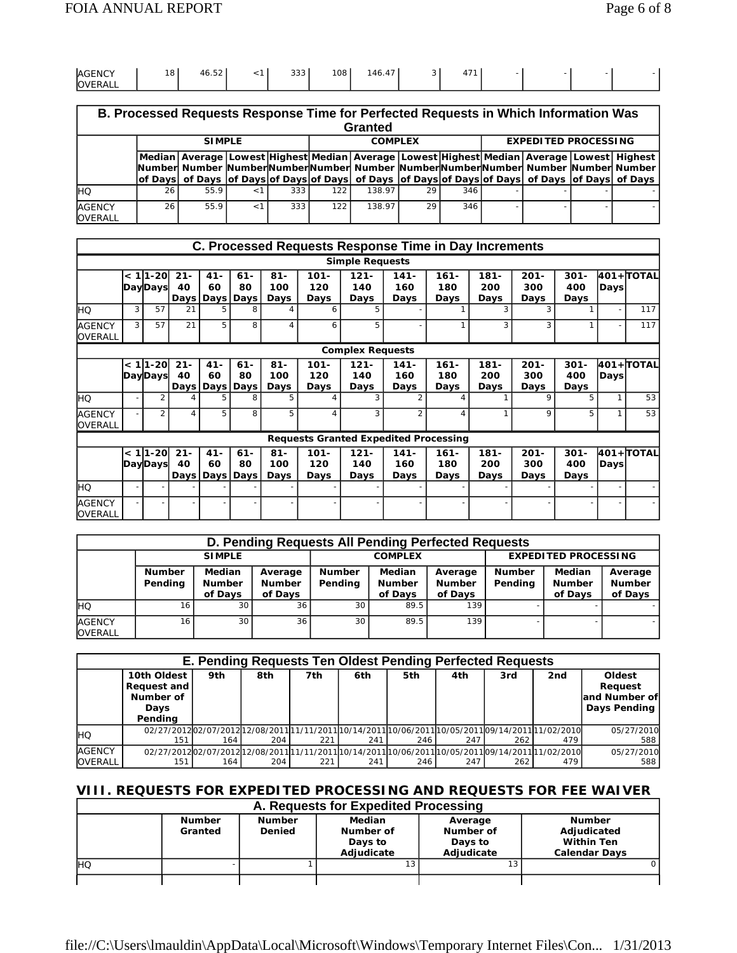| <b>AGENCY</b>  | 10<br>$\circ$ | $ \sim$<br>46.5∠ | $\sim$<br>ບບບ | 108 | $\overline{\phantom{a}}$<br>146.<br>41 | $4 - 2$<br>д.<br>$\overline{\phantom{a}}$ |  |  |
|----------------|---------------|------------------|---------------|-----|----------------------------------------|-------------------------------------------|--|--|
| <b>OVERALL</b> |               |                  |               |     |                                        |                                           |  |  |

|                                 | B. Processed Requests Response Time for Perfected Requests in Which Information Was<br>Granted |      |  |     |                                                                                                                                                                                                              |        |    |     |  |                                                                                                        |  |  |  |  |
|---------------------------------|------------------------------------------------------------------------------------------------|------|--|-----|--------------------------------------------------------------------------------------------------------------------------------------------------------------------------------------------------------------|--------|----|-----|--|--------------------------------------------------------------------------------------------------------|--|--|--|--|
|                                 | <b>EXPEDITED PROCESSING</b><br><b>SIMPLE</b><br><b>COMPLEX</b>                                 |      |  |     |                                                                                                                                                                                                              |        |    |     |  |                                                                                                        |  |  |  |  |
|                                 |                                                                                                |      |  |     | Median   Average   Lowest   Highest   Median   Average   Lowest   Highest   Median   Average   Lowest   Highest<br>Number  Number Number Number Number  Number  Number Number Number  Number  Number  Number |        |    |     |  |                                                                                                        |  |  |  |  |
|                                 |                                                                                                |      |  |     |                                                                                                                                                                                                              |        |    |     |  | of Days  of Days  of Days of Days of Days  of Days  of Days of Days of Days  of Days  of Days  of Days |  |  |  |  |
| <b>IHO</b>                      | 26 I                                                                                           | 55.9 |  | 333 | 122                                                                                                                                                                                                          | 138 97 | 29 | 346 |  |                                                                                                        |  |  |  |  |
| <b>AGENCY</b><br><b>OVERALL</b> | 55.9<br>333<br>138.97<br>122<br>346<br>26<br>29                                                |      |  |     |                                                                                                                                                                                                              |        |    |     |  |                                                                                                        |  |  |  |  |

|                                 |   |                             |              |              |                                    |                              |                        | C. Processed Requests Response Time in Day Increments |                        |                        |                        |                        |                        |             |            |
|---------------------------------|---|-----------------------------|--------------|--------------|------------------------------------|------------------------------|------------------------|-------------------------------------------------------|------------------------|------------------------|------------------------|------------------------|------------------------|-------------|------------|
|                                 |   |                             |              |              |                                    |                              |                        | <b>Simple Requests</b>                                |                        |                        |                        |                        |                        |             |            |
|                                 |   | $< 1$  1-20 <br>DayDays     | $21 -$<br>40 | $41 -$<br>60 | $61 -$<br>80<br>Days   Days   Days | $81 -$<br>100<br>Days        | $101 -$<br>120<br>Days | $121 -$<br>140<br>Days                                | $141 -$<br>160<br>Days | $161 -$<br>180<br>Days | $181 -$<br>200<br>Days | $201 -$<br>300<br>Days | $301 -$<br>400<br>Days | <b>Days</b> | 401+ TOTAL |
| IнQ                             | 3 | 57                          | 21           |              |                                    |                              | 6                      |                                                       |                        |                        | 3                      | 3                      |                        |             | 117        |
| <b>AGENCY</b><br><b>OVERALL</b> | 3 | 57                          | 21           | 5            | 8                                  | $\boldsymbol{\Lambda}$       | 6                      | 5                                                     |                        |                        | 3                      | 3                      |                        |             | 117        |
|                                 |   |                             |              |              |                                    |                              |                        | <b>Complex Requests</b>                               |                        |                        |                        |                        |                        |             |            |
|                                 |   | < 1l1-20l<br>DayDays        | $21 -$<br>40 | $41 -$<br>60 | $61 -$<br>80<br>Days   Days   Days | $81 -$<br>100<br><b>Davs</b> | $101 -$<br>120<br>Days | $121 -$<br>140<br>Days                                | $141 -$<br>160<br>Days | $161 -$<br>180<br>Days | $181 -$<br>200<br>Days | $201 -$<br>300<br>Days | $301 -$<br>400<br>Days | Days        | 401+ TOTAL |
| lhQ.                            |   | 2                           |              | 5.           | 8                                  | 5                            | 4                      | 3                                                     | 2                      | Δ                      |                        | 9                      | 5                      |             | 53         |
| <b>AGENCY</b><br><b>OVERALL</b> |   | $\overline{2}$              | 4            | 5            | 8                                  | 5                            | 4                      | 3                                                     | $\overline{2}$         | $\overline{A}$         |                        | 9                      | 5                      |             | 53         |
|                                 |   |                             |              |              |                                    |                              |                        | <b>Requests Granted Expedited Processing</b>          |                        |                        |                        |                        |                        |             |            |
|                                 |   | < 1l1-20l<br><b>DayDays</b> | $21 -$<br>40 | $41 -$<br>60 | $61 -$<br>80<br>Days   Days   Days | $81 -$<br>100<br>Days        | $101 -$<br>120<br>Days | $121 -$<br>140<br>Days                                | $141 -$<br>160<br>Days | $161 -$<br>180<br>Days | 181-<br>200<br>Days    | $201 -$<br>300<br>Days | $301 -$<br>400<br>Days | Days        | 401+ TOTAL |
| HQ                              |   |                             |              |              |                                    |                              |                        |                                                       |                        |                        |                        |                        |                        |             |            |
| <b>AGENCY</b><br><b>OVERALL</b> |   |                             |              |              |                                    |                              |                        |                                                       |                        |                        |                        |                        |                        |             |            |

|                                 |                          |                                           |                                     |                          |                                           | D. Pending Requests All Pending Perfected Requests |                             |                             |                                     |  |
|---------------------------------|--------------------------|-------------------------------------------|-------------------------------------|--------------------------|-------------------------------------------|----------------------------------------------------|-----------------------------|-----------------------------|-------------------------------------|--|
|                                 |                          | <b>SIMPLE</b>                             |                                     |                          | <b>COMPLEX</b>                            |                                                    | <b>EXPEDITED PROCESSING</b> |                             |                                     |  |
|                                 | <b>Number</b><br>Pending | <b>Median</b><br><b>Number</b><br>of Days | Average<br><b>Number</b><br>of Days | <b>Number</b><br>Pending | <b>Median</b><br><b>Number</b><br>of Days | Average<br><b>Number</b><br>of Days                | <b>Number</b><br>Pending    | Median<br>Number<br>of Days | Average<br><b>Number</b><br>of Days |  |
| IнQ                             | 16 <sub>1</sub>          | 30                                        | 36                                  | 30                       | 89.5                                      | 139                                                |                             |                             |                                     |  |
| <b>AGENCY</b><br><b>OVERALL</b> | 16 <sub>1</sub>          | 30 <sup>1</sup>                           | 36                                  | 30                       | 89.5                                      | 139                                                |                             |                             |                                     |  |

|                                 | E. Pending Requests Ten Oldest Pending Perfected Requests                                            |     |     |     |     |     |     |     |     |                                                           |  |  |  |
|---------------------------------|------------------------------------------------------------------------------------------------------|-----|-----|-----|-----|-----|-----|-----|-----|-----------------------------------------------------------|--|--|--|
|                                 | 10th Oldest<br>Request and<br>Number of<br>Days<br>Pending                                           | 9th | 8th | 7th | 6th | 5th | 4th | 3rd | 2nd | Oldest<br>Request<br>and Number of<br><b>Days Pending</b> |  |  |  |
| <b>IHQ</b>                      | 02/27/201202/07/201202/08/201101/11/201100/14/201100/06/201100/05/201109/14/201101/02/2010<br>151    | 164 | 204 | 221 | 241 | 246 | 247 | 262 | 479 | 05/27/2010<br>588                                         |  |  |  |
| <b>AGENCY</b><br><b>OVERALL</b> | 02/27/201202/07/2012012/08/2011011/11/201100/14/201100/06/201100/05/201109/14/2011011/02/2010<br>151 | 164 | 204 | 221 | 241 | 246 | 247 | 262 | 479 | 05/27/2010<br>588                                         |  |  |  |

## **VIII. REQUESTS FOR EXPEDITED PROCESSING AND REQUESTS FOR FEE WAIVER**

|            | A. Requests for Expedited Processing |                                |                                              |                                               |                                                                           |  |  |  |  |  |  |  |
|------------|--------------------------------------|--------------------------------|----------------------------------------------|-----------------------------------------------|---------------------------------------------------------------------------|--|--|--|--|--|--|--|
|            | <b>Number</b><br>Granted             | <b>Number</b><br><b>Denied</b> | Median<br>Number of<br>Days to<br>Adiudicate | Average<br>Number of<br>Days to<br>Adiudicate | <b>Number</b><br>Adjudicated<br><b>Within Ten</b><br><b>Calendar Days</b> |  |  |  |  |  |  |  |
| <b>IHO</b> |                                      |                                | 13                                           | 13                                            |                                                                           |  |  |  |  |  |  |  |
|            |                                      |                                |                                              |                                               |                                                                           |  |  |  |  |  |  |  |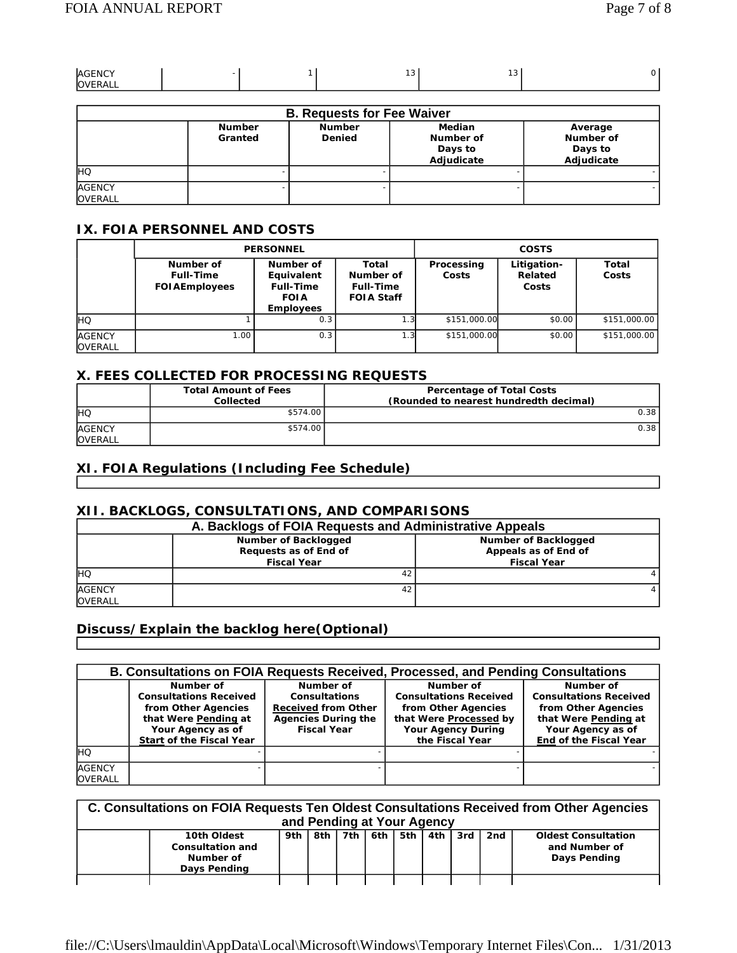| AGENCY  |  | $\sim$<br>$\cdot$ $\cdot$ | $\sim$<br>U |  |
|---------|--|---------------------------|-------------|--|
| OVERALL |  |                           |             |  |

| <b>B. Requests for Fee Waiver</b> |                          |                                |                                                     |                                               |  |  |
|-----------------------------------|--------------------------|--------------------------------|-----------------------------------------------------|-----------------------------------------------|--|--|
|                                   | <b>Number</b><br>Granted | <b>Number</b><br><b>Denied</b> | <b>Median</b><br>Number of<br>Days to<br>Adjudicate | Average<br>Number of<br>Days to<br>Adjudicate |  |  |
| Iнo                               |                          |                                |                                                     |                                               |  |  |
| <b>AGENCY</b><br><b>OVERALL</b>   |                          |                                |                                                     |                                               |  |  |

### **IX. FOIA PERSONNEL AND COSTS**

|                                 |                                                        | <b>PERSONNEL</b>                                                               | <b>COSTS</b>                                                |                     |                                 |                |
|---------------------------------|--------------------------------------------------------|--------------------------------------------------------------------------------|-------------------------------------------------------------|---------------------|---------------------------------|----------------|
|                                 | Number of<br><b>Full-Time</b><br><b>FOI AEmployees</b> | Number of<br>Equivalent<br><b>Full-Time</b><br><b>FOIA</b><br><b>Employees</b> | Total<br>Number of<br><b>Full-Time</b><br><b>FOIA Staff</b> | Processing<br>Costs | Litigation-<br>Related<br>Costs | Total<br>Costs |
| IнQ                             |                                                        | 0.3                                                                            | 1.3                                                         | \$151,000.00        | \$0.00                          | \$151,000.00   |
| <b>AGENCY</b><br><b>OVERALL</b> | 1.00 <sub>1</sub>                                      | 0.3                                                                            | 1.3                                                         | \$151,000.00        | \$0.00                          | \$151,000.00   |

### **X. FEES COLLECTED FOR PROCESSING REQUESTS**

|                                 | <b>Total Amount of Fees</b><br>Collected | <b>Percentage of Total Costs</b><br>(Rounded to nearest hundredth decimal) |
|---------------------------------|------------------------------------------|----------------------------------------------------------------------------|
| <b>IHO</b>                      | \$574.00                                 | 0.38                                                                       |
| <b>AGENCY</b><br><b>OVERALL</b> | \$574.00                                 | 0.38                                                                       |

### **XI. FOIA Regulations (Including Fee Schedule)**

### **XII. BACKLOGS, CONSULTATIONS, AND COMPARISONS**

| A. Backlogs of FOIA Requests and Administrative Appeals |                                                                     |                                                                    |  |  |  |  |
|---------------------------------------------------------|---------------------------------------------------------------------|--------------------------------------------------------------------|--|--|--|--|
|                                                         | Number of Backlogged<br>Requests as of End of<br><b>Fiscal Year</b> | Number of Backlogged<br>Appeals as of End of<br><b>Fiscal Year</b> |  |  |  |  |
| Iнa                                                     | 42                                                                  |                                                                    |  |  |  |  |
| <b>AGENCY</b><br><b>OVERALL</b>                         | 42                                                                  |                                                                    |  |  |  |  |

## **Discuss/Explain the backlog here(Optional)**

|                                 |                                                                              |                                                                 | <b>B. Consultations on FOIA Requests Received, Processed, and Pending Consultations</b> |                                                                     |
|---------------------------------|------------------------------------------------------------------------------|-----------------------------------------------------------------|-----------------------------------------------------------------------------------------|---------------------------------------------------------------------|
|                                 | Number of<br><b>Consultations Received</b><br>from Other Agencies            | Number of<br><b>Consultations</b><br><b>Received from Other</b> | Number of<br><b>Consultations Received</b><br>from Other Agencies                       | Number of<br><b>Consultations Received</b><br>from Other Agencies   |
|                                 | that Were Pending at<br>Your Agency as of<br><b>Start of the Fiscal Year</b> | <b>Agencies During the</b><br><b>Fiscal Year</b>                | that Were Processed by<br><b>Your Agency During</b><br>the Fiscal Year                  | that Were Pending at<br>Your Agency as of<br>End of the Fiscal Year |
| <b>IHO</b>                      |                                                                              |                                                                 |                                                                                         |                                                                     |
| <b>AGENCY</b><br><b>OVERALL</b> |                                                                              |                                                                 |                                                                                         |                                                                     |

| C. Consultations on FOIA Requests Ten Oldest Consultations Received from Other Agencies<br>and Pending at Your Agency |                                                                     |             |  |           |         |         |     |     |                                                             |
|-----------------------------------------------------------------------------------------------------------------------|---------------------------------------------------------------------|-------------|--|-----------|---------|---------|-----|-----|-------------------------------------------------------------|
|                                                                                                                       | 10th Oldest<br><b>Consultation and</b><br>Number of<br>Days Pending | 9th $\vert$ |  | 8th 7th I | 6th 5th | l 4th l | 3rd | 2nd | <b>Oldest Consultation</b><br>and Number of<br>Days Pending |
|                                                                                                                       |                                                                     |             |  |           |         |         |     |     |                                                             |